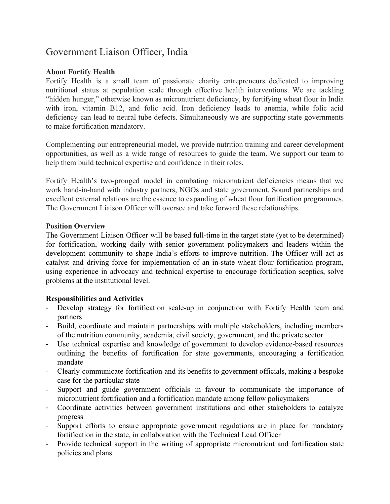# Government Liaison Officer, India

## **About Fortify Health**

Fortify Health is a small team of passionate charity entrepreneurs dedicated to improving nutritional status at population scale through effective health interventions. We are tackling "hidden hunger," otherwise known as micronutrient deficiency, by fortifying wheat flour in India with iron, vitamin B12, and folic acid. Iron deficiency leads to anemia, while folic acid deficiency can lead to neural tube defects. Simultaneously we are supporting state governments to make fortification mandatory.

Complementing our entrepreneurial model, we provide nutrition training and career development opportunities, as well as a wide range of resources to guide the team. We support our team to help them build technical expertise and confidence in their roles.

Fortify Health's two-pronged model in combating micronutrient deficiencies means that we work hand-in-hand with industry partners, NGOs and state government. Sound partnerships and excellent external relations are the essence to expanding of wheat flour fortification programmes. The Government Liaison Officer will oversee and take forward these relationships.

### **Position Overview**

The Government Liaison Officer will be based full-time in the target state (yet to be determined) for fortification, working daily with senior government policymakers and leaders within the development community to shape India's efforts to improve nutrition. The Officer will act as catalyst and driving force for implementation of an in-state wheat flour fortification program, using experience in advocacy and technical expertise to encourage fortification sceptics, solve problems at the institutional level.

## **Responsibilities and Activities**

- Develop strategy for fortification scale-up in conjunction with Fortify Health team and partners
- Build, coordinate and maintain partnerships with multiple stakeholders, including members of the nutrition community, academia, civil society, government, and the private sector
- Use technical expertise and knowledge of government to develop evidence-based resources outlining the benefits of fortification for state governments, encouraging a fortification mandate
- Clearly communicate fortification and its benefits to government officials, making a bespoke case for the particular state
- Support and guide government officials in favour to communicate the importance of micronutrient fortification and a fortification mandate among fellow policymakers
- Coordinate activities between government institutions and other stakeholders to catalyze progress
- Support efforts to ensure appropriate government regulations are in place for mandatory fortification in the state, in collaboration with the Technical Lead Officer
- Provide technical support in the writing of appropriate micronutrient and fortification state policies and plans